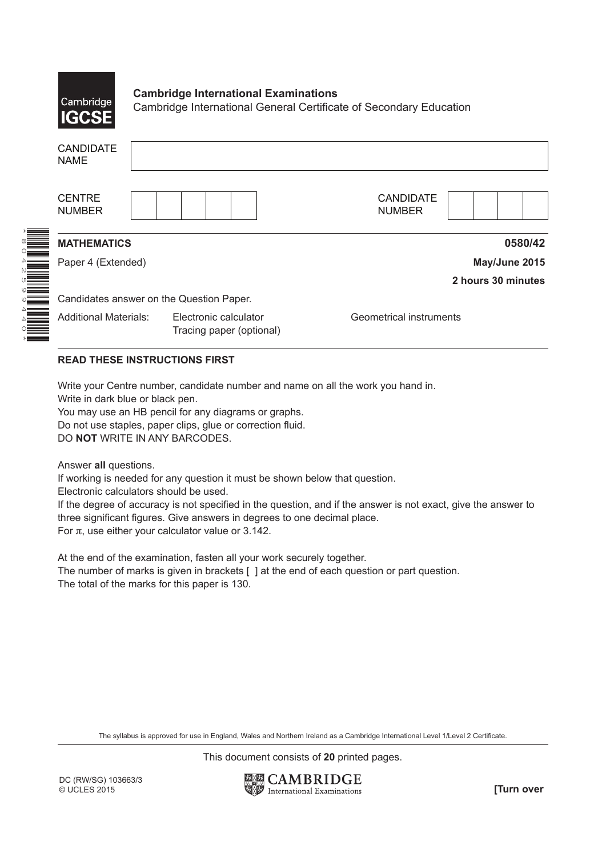

## **Cambridge International Examinations**

Cambridge International General Certificate of Secondary Education

| <b>CANDIDATE</b><br><b>NAME</b> |                                                   |                                   |
|---------------------------------|---------------------------------------------------|-----------------------------------|
| <b>CENTRE</b><br><b>NUMBER</b>  |                                                   | <b>CANDIDATE</b><br><b>NUMBER</b> |
| <b>MATHEMATICS</b>              |                                                   | 0580/42                           |
| Paper 4 (Extended)              |                                                   | May/June 2015                     |
|                                 |                                                   | 2 hours 30 minutes                |
|                                 | Candidates answer on the Question Paper.          |                                   |
| <b>Additional Materials:</b>    | Electronic calculator<br>Tracing paper (optional) | Geometrical instruments           |

## **READ THESE INSTRUCTIONS FIRST**

Write your Centre number, candidate number and name on all the work you hand in.

Write in dark blue or black pen.

You may use an HB pencil for any diagrams or graphs. Do not use staples, paper clips, glue or correction fluid. DO **NOT** WRITE IN ANY BARCODES.

Answer **all** questions.

If working is needed for any question it must be shown below that question.

Electronic calculators should be used.

If the degree of accuracy is not specified in the question, and if the answer is not exact, give the answer to three significant figures. Give answers in degrees to one decimal place. For  $\pi$ , use either your calculator value or 3.142.

At the end of the examination, fasten all your work securely together. The number of marks is given in brackets [ ] at the end of each question or part question. The total of the marks for this paper is 130.

The syllabus is approved for use in England, Wales and Northern Ireland as a Cambridge International Level 1/Level 2 Certificate.

This document consists of **20** printed pages.

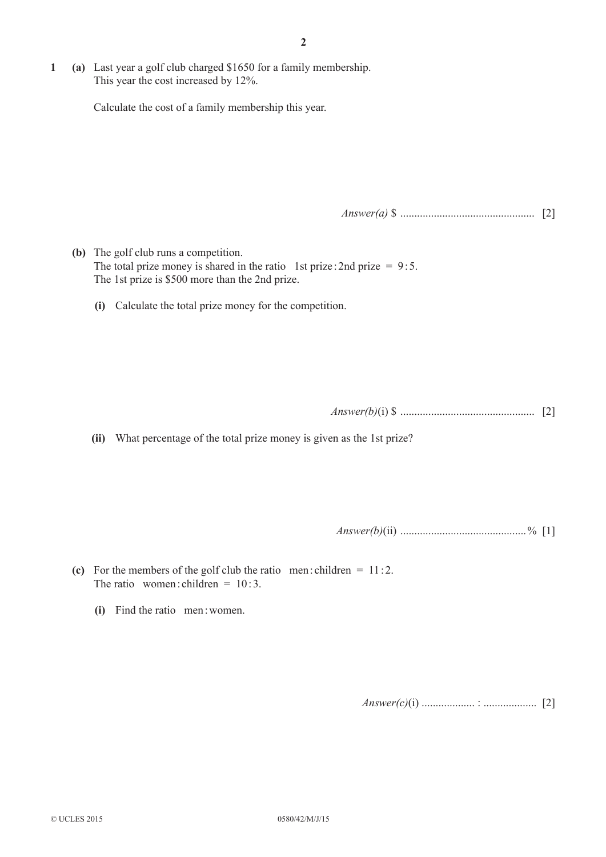**1 (a)** Last year a golf club charged \$1650 for a family membership. This year the cost increased by 12%.

Calculate the cost of a family membership this year.

*Answer(a)* \$ ................................................ [2]

- **(b)** The golf club runs a competition. The total prize money is shared in the ratio 1st prize : 2nd prize =  $9:5$ . The 1st prize is \$500 more than the 2nd prize.
	- **(i)** Calculate the total prize money for the competition.

*Answer(b)*(i) \$ ................................................ [2]

**(ii)** What percentage of the total prize money is given as the 1st prize?

*Answer(b)*(ii) .............................................% [1]

- (c) For the members of the golf club the ratio men: children  $= 11:2$ . The ratio women: children =  $10:3$ .
	- **(i)** Find the ratio men:women.

*Answer(c)*(i) ................... : ................... [2]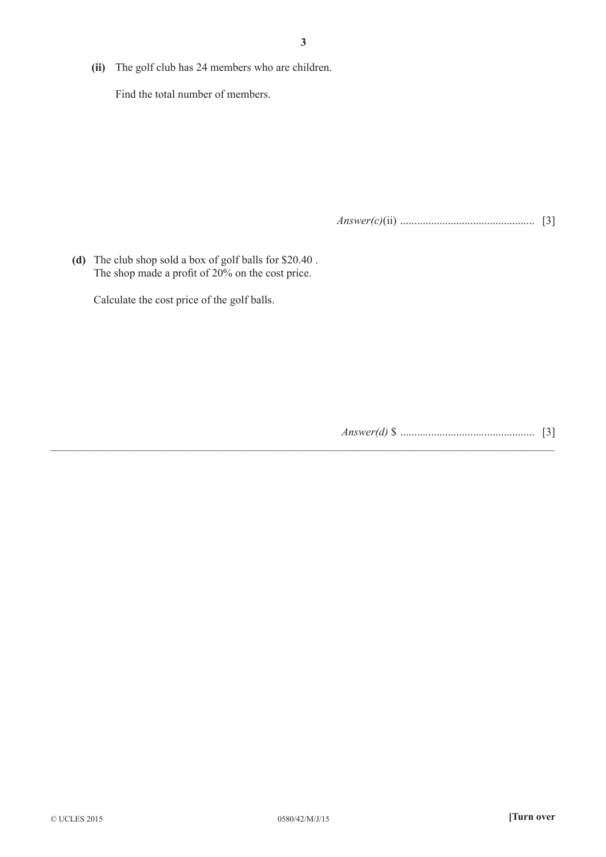**(ii)** The golf club has 24 members who are children.

Find the total number of members.

*Answer(c)*(ii) ................................................ [3]

**(d)** The club shop sold a box of golf balls for \$20.40 . The shop made a profit of 20% on the cost price.

Calculate the cost price of the golf balls.

*Answer(d)* \$ ................................................ [3]

 $\_$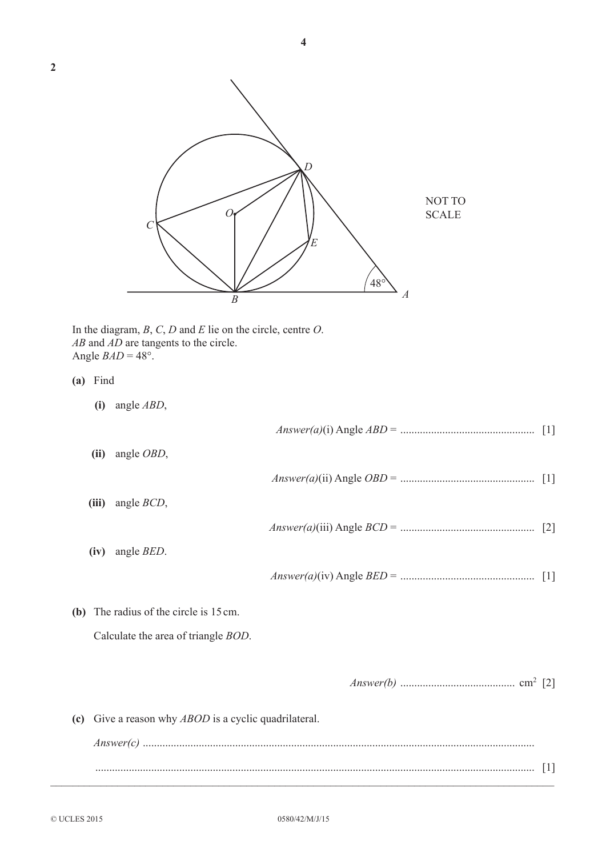**4**



 In the diagram, *B*, *C*, *D* and *E* lie on the circle, centre *O*. *AB* and *AD* are tangents to the circle. Angle  $BAD = 48^\circ$ .

- **(a)** Find
	- **(i)** angle *ABD*,

**(ii)** angle *OBD*,

| <i>Answer(a)(i)</i> Angle $ABD =$ |  |  |
|-----------------------------------|--|--|
|-----------------------------------|--|--|

- *Answer(a)*(ii) Angle *OBD* = ................................................ [1]
- **(iii)** angle *BCD*,
- **(iv)** angle *BED*.

*Answer(a)*(iv) Angle *BED* = ................................................ [1]

*Answer(a)*(iii) Angle *BCD* = ................................................ [2]

**(b)** The radius of the circle is 15cm.

Calculate the area of triangle *BOD*.

|--|--|--|

**(c)** Give a reason why *ABOD* is a cyclic quadrilateral.

| Answer |         |
|--------|---------|
| .      | $\perp$ |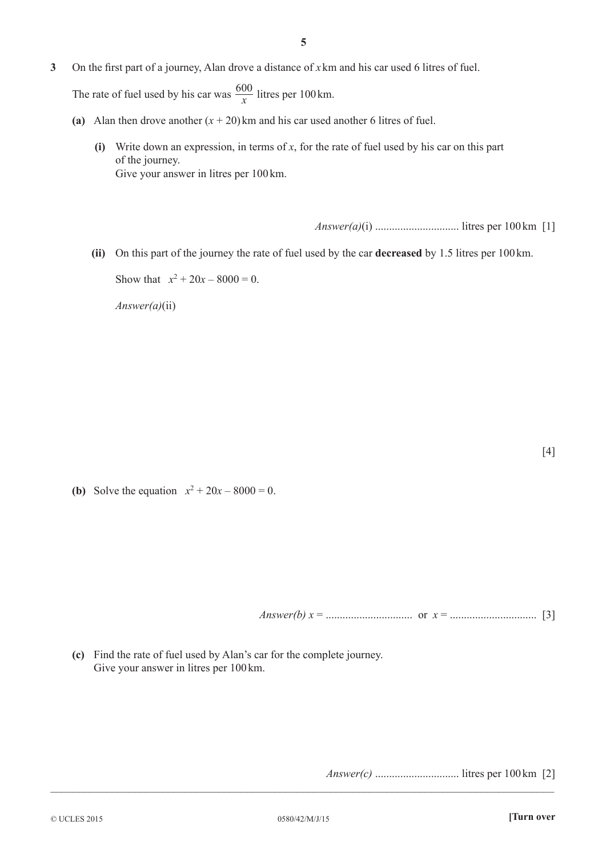**3** On the first part of a journey, Alan drove a distance of *x* km and his car used 6 litres of fuel.

The rate of fuel used by his car was  $\frac{600}{x}$  litres per 100 km.

- (a) Alan then drove another  $(x + 20)$ km and his car used another 6 litres of fuel.
	- **(i)** Write down an expression, in terms of *x*, for the rate of fuel used by his car on this part of the journey. Give your answer in litres per 100km.

*Answer(a)*(i) .............................. litres per 100km [1]

**(ii)** On this part of the journey the rate of fuel used by the car **decreased** by 1.5 litres per 100km.

Show that  $x^2 + 20x - 8000 = 0$ .

*Answer(a)*(ii)

**(b)** Solve the equation  $x^2 + 20x - 8000 = 0$ .

*Answer(b) x* = ............................... or *x* = ............................... [3]

**(c)** Find the rate of fuel used by Alan's car for the complete journey. Give your answer in litres per 100km.

*Answer(c)* .............................. litres per 100km [2]

 $\_$ 

[4]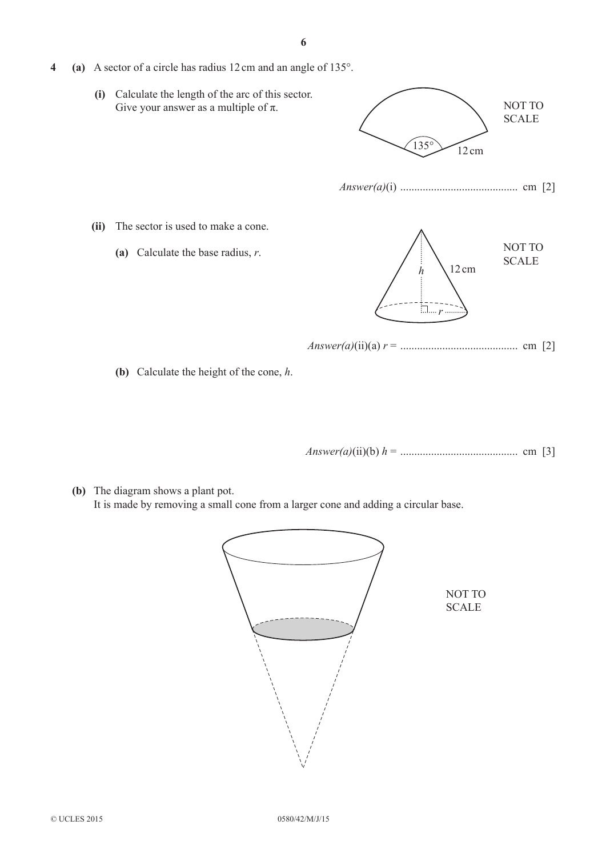- **4 (a)** A sector of a circle has radius 12cm and an angle of 135°.
	- **(i)** Calculate the length of the arc of this sector. Give your answer as a multiple of  $\pi$ .



**(b)** Calculate the height of the cone, *h*.

*Answer(a)*(ii)(b) *h* = .......................................... cm [3]

**(b)** The diagram shows a plant pot. It is made by removing a small cone from a larger cone and adding a circular base.

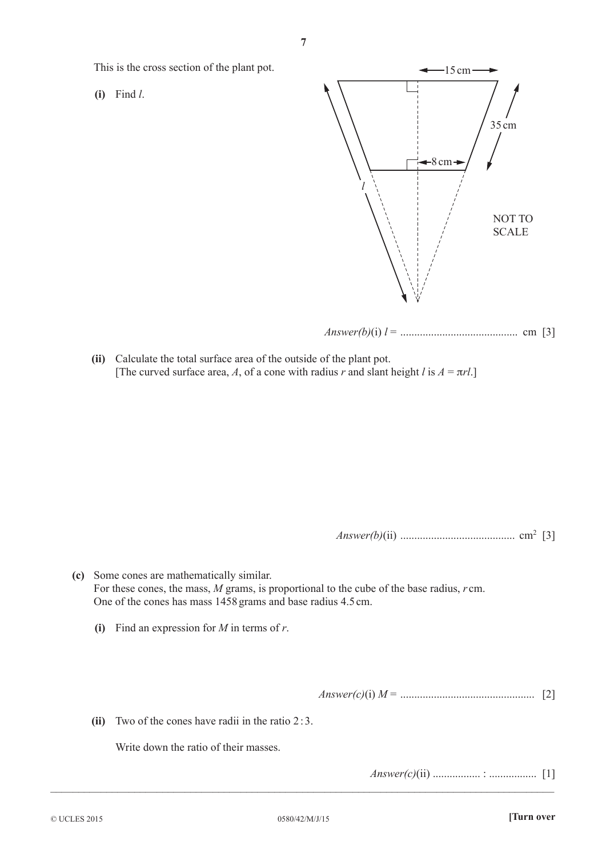This is the cross section of the plant pot.

**(i)** Find *l*.



**(ii)** Calculate the total surface area of the outside of the plant pot. [The curved surface area, *A*, of a cone with radius *r* and slant height *l* is  $A = \pi r l$ .]

*Answer(b)*(ii) ......................................... cm2 [3]

- **(c)** Some cones are mathematically similar. For these cones, the mass, *M* grams, is proportional to the cube of the base radius, *r* cm. One of the cones has mass 1458 grams and base radius 4.5cm.
	- **(i)** Find an expression for *M* in terms of *r*.

*Answer(c)*(i) *M* = ................................................ [2]

**(ii)** Two of the cones have radii in the ratio 2: 3.

Write down the ratio of their masses.

*Answer(c)*(ii) ................. : ................. [1]

 $\_$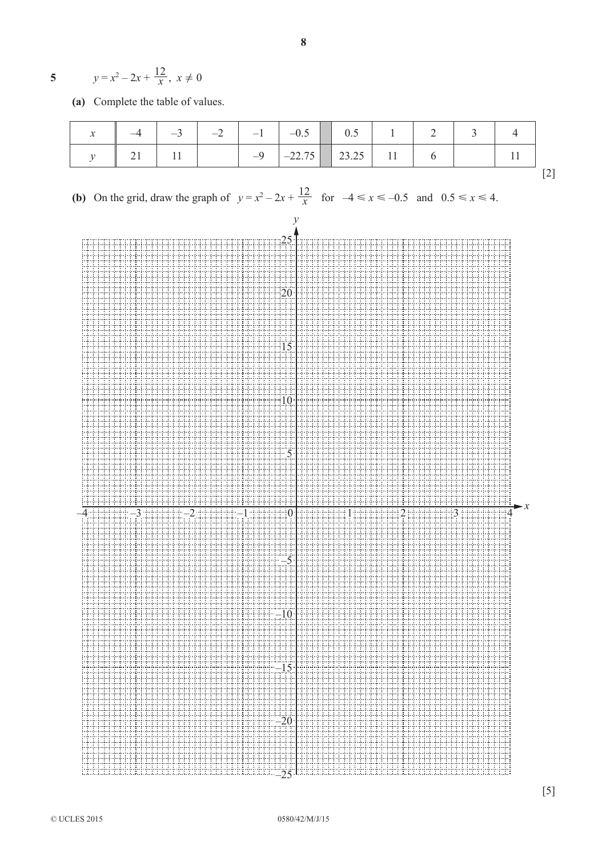5 
$$
y=x^2-2x+\frac{12}{x}, x\neq 0
$$

**(a)** Complete the table of values.

| $\boldsymbol{\mathcal{N}}$ |  |                                                                      |                     |  |  |  |  |
|----------------------------|--|----------------------------------------------------------------------|---------------------|--|--|--|--|
|                            |  | $\begin{array}{ c c c c c } \hline 11 & 1 & -9 \ \hline \end{array}$ | $-22.75$ 23.25 11 6 |  |  |  |  |
|                            |  |                                                                      |                     |  |  |  |  |

**8**

**(b)** On the grid, draw the graph of  $y = x^2 - 2x + \frac{12}{x}$  for  $-4 \le x \le -0.5$  and  $0.5 \le x \le 4$ .

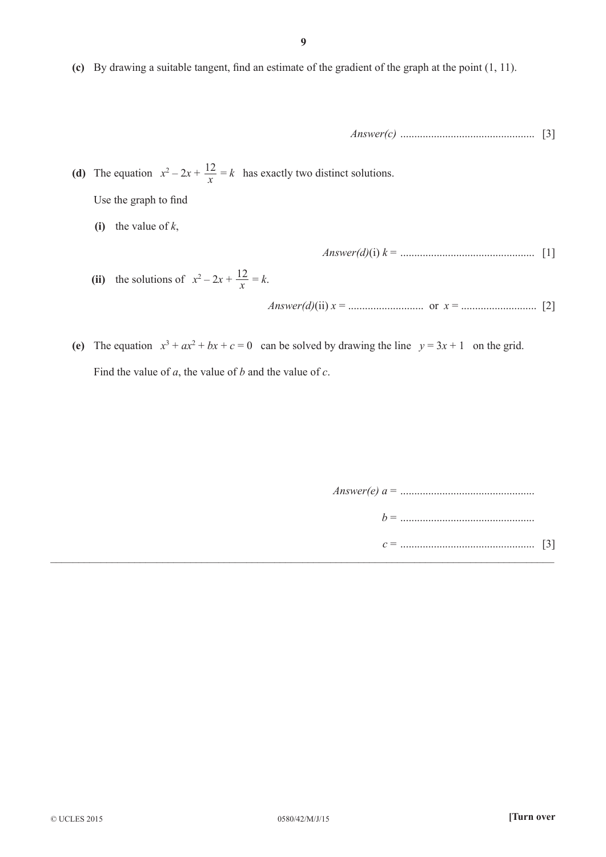**(c)** By drawing a suitable tangent, find an estimate of the gradient of the graph at the point (1, 11).

*Answer(c)* ................................................ [3]

(**d**) The equation  $x^2 - 2x + \frac{12}{x}$ 12  $= k$  has exactly two distinct solutions.

Use the graph to find

**(i)** the value of *k*,

*Answer(d)*(i) *k* = ................................................ [1]

(ii) the solutions of  $x^2 - 2x + \frac{12}{x}$ 12  $= k$ .

*Answer(d)*(ii) *x* = ........................... or *x* = ........................... [2]

(e) The equation  $x^3 + ax^2 + bx + c = 0$  can be solved by drawing the line  $y = 3x + 1$  on the grid. Find the value of *a*, the value of *b* and the value of *c*.

> *Answer(e) a* = ................................................ *b* = ................................................

*c* = ................................................ [3]  $\mathcal{L}_\mathcal{L} = \mathcal{L}_\mathcal{L} = \mathcal{L}_\mathcal{L} = \mathcal{L}_\mathcal{L} = \mathcal{L}_\mathcal{L} = \mathcal{L}_\mathcal{L} = \mathcal{L}_\mathcal{L} = \mathcal{L}_\mathcal{L} = \mathcal{L}_\mathcal{L} = \mathcal{L}_\mathcal{L} = \mathcal{L}_\mathcal{L} = \mathcal{L}_\mathcal{L} = \mathcal{L}_\mathcal{L} = \mathcal{L}_\mathcal{L} = \mathcal{L}_\mathcal{L} = \mathcal{L}_\mathcal{L} = \mathcal{L}_\mathcal{L}$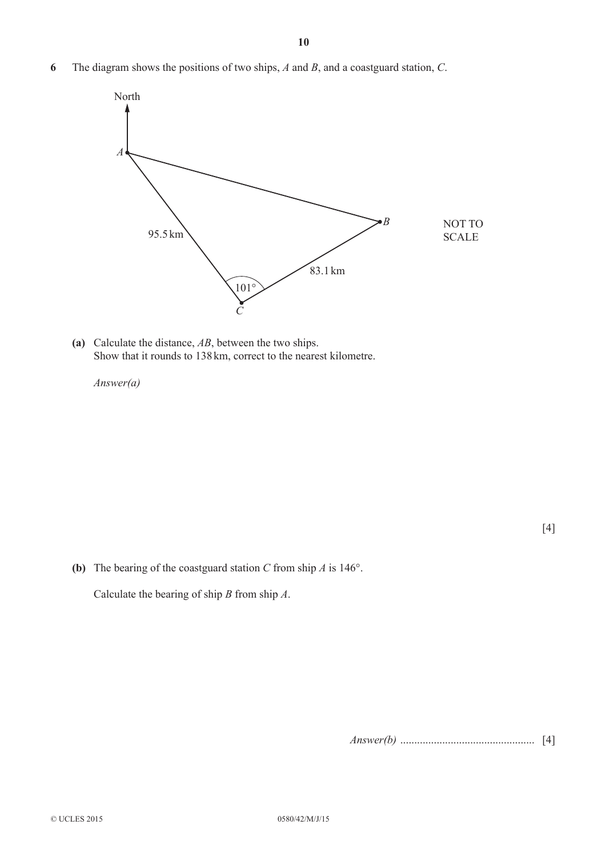**6** The diagram shows the positions of two ships, *A* and *B*, and a coastguard station, *C*.



**(a)** Calculate the distance, *AB*, between the two ships. Show that it rounds to 138km, correct to the nearest kilometre.

*Answer(a)*

[4]

**(b)** The bearing of the coastguard station *C* from ship *A* is 146°.

Calculate the bearing of ship *B* from ship *A*.

*Answer(b)* ................................................ [4]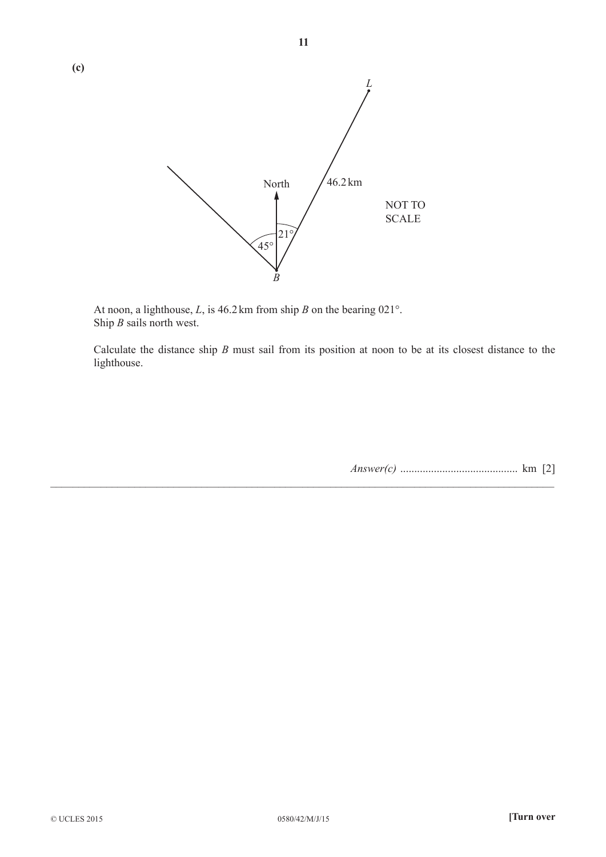

**11**

 At noon, a lighthouse, *L*, is 46.2 km from ship *B* on the bearing 021°. Ship *B* sails north west.

 Calculate the distance ship *B* must sail from its position at noon to be at its closest distance to the lighthouse.

 $\_$  , and the set of the set of the set of the set of the set of the set of the set of the set of the set of the set of the set of the set of the set of the set of the set of the set of the set of the set of the set of th

*Answer(c)* .......................................... km [2]

**(c)**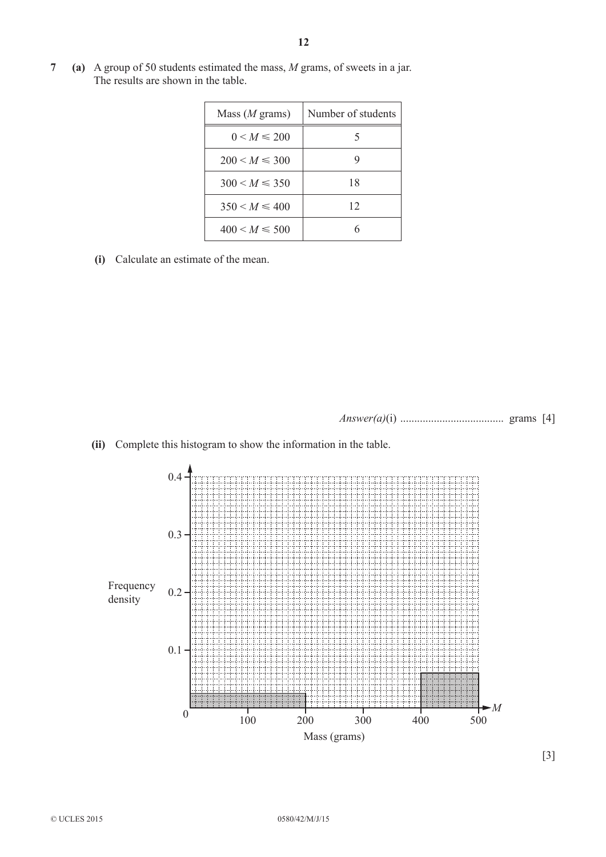**7 (a)** A group of 50 students estimated the mass, *M* grams, of sweets in a jar. The results are shown in the table.

| Mass $(M \text{ grams})$ | Number of students |
|--------------------------|--------------------|
| $0 < M \le 200$          | 5                  |
| $200 < M \leq 300$       | g                  |
| $300 < M \leq 350$       | 18                 |
| $350 < M \leq 400$       | 12                 |
| $400 < M \leq 500$       |                    |

**(i)** Calculate an estimate of the mean.

*Answer(a)*(i) ..................................... grams [4]



**(ii)** Complete this histogram to show the information in the table.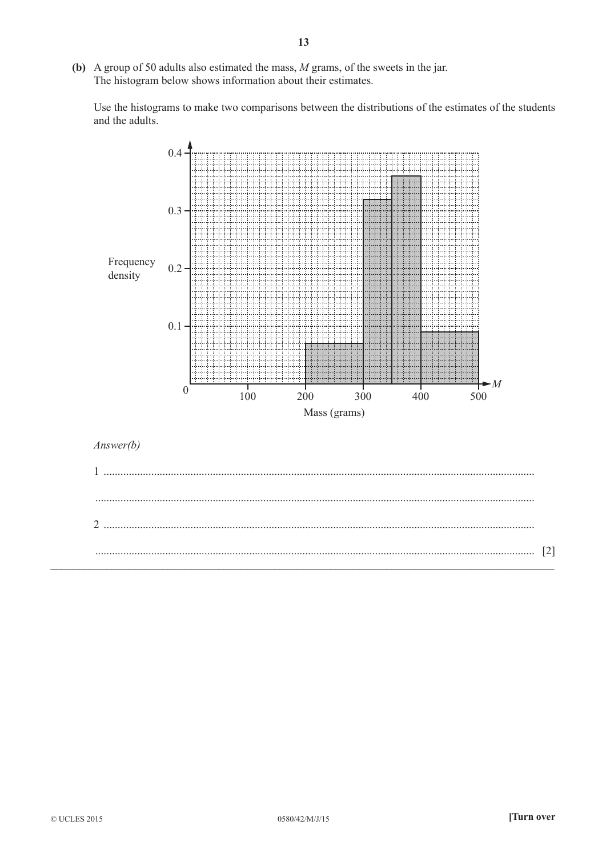(b) A group of 50 adults also estimated the mass,  $M$  grams, of the sweets in the jar. The histogram below shows information about their estimates.

Use the histograms to make two comparisons between the distributions of the estimates of the students and the adults.

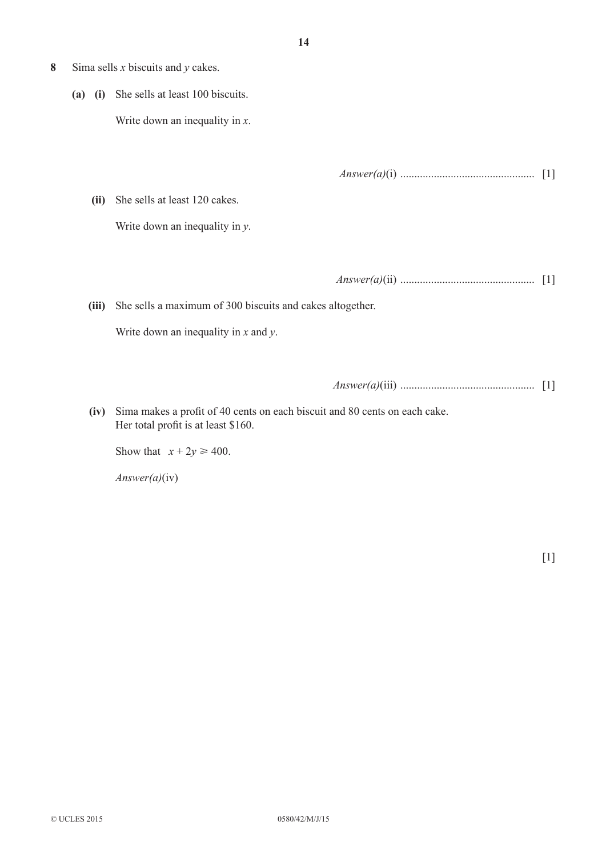- **8** Sima sells *x* biscuits and *y* cakes.
	- **(a) (i)** She sells at least 100 biscuits. Write down an inequality in *x*.

*Answer(a)*(i) ................................................ [1]

**(ii)** She sells at least 120 cakes.

Write down an inequality in *y*.

*Answer(a)*(ii) ................................................ [1]

**(iii)** She sells a maximum of 300 biscuits and cakes altogether.

Write down an inequality in *x* and *y*.

*Answer(a)*(iii) ................................................ [1]

**(iv)** Sima makes a profit of 40 cents on each biscuit and 80 cents on each cake. Her total profit is at least \$160.

Show that  $x + 2y \ge 400$ .

*Answer(a)*(iv)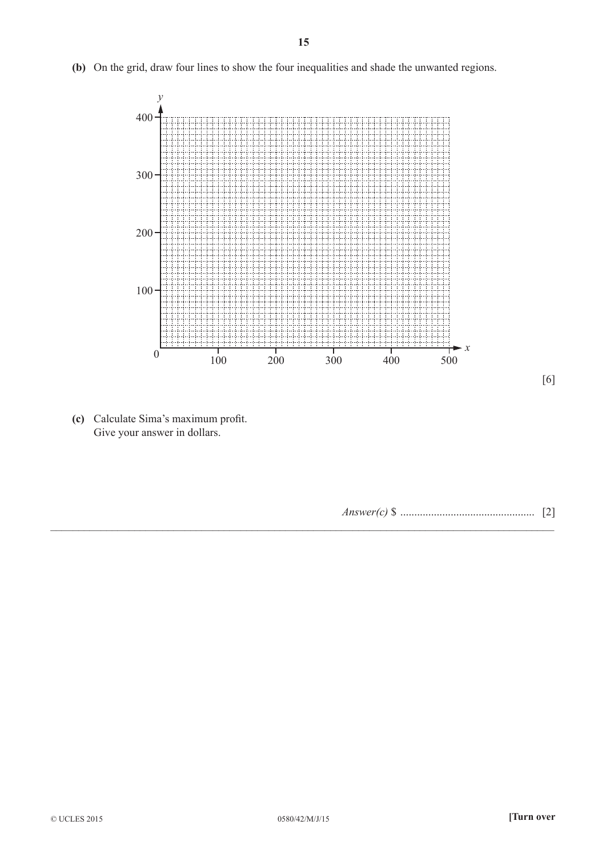**(b)** On the grid, draw four lines to show the four inequalities and shade the unwanted regions.



**(c)** Calculate Sima's maximum profit. Give your answer in dollars.

*Answer(c)* \$ ................................................ [2]

\_\_\_\_\_\_\_\_\_\_\_\_\_\_\_\_\_\_\_\_\_\_\_\_\_\_\_\_\_\_\_\_\_\_\_\_\_\_\_\_\_\_\_\_\_\_\_\_\_\_\_\_\_\_\_\_\_\_\_\_\_\_\_\_\_\_\_\_\_\_\_\_\_\_\_\_\_\_\_\_\_\_\_\_\_\_\_\_\_\_

[6]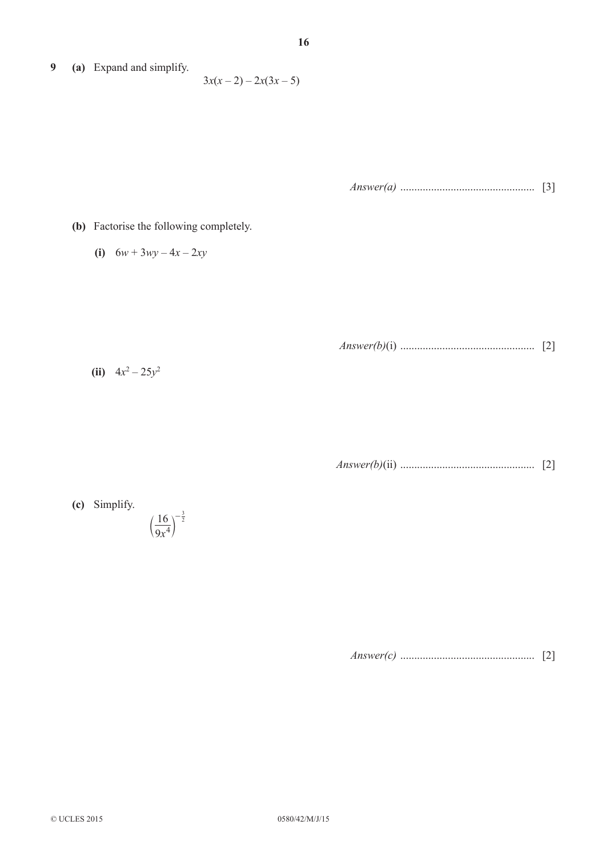**9 (a)** Expand and simplify.

 $3x(x-2) - 2x(3x-5)$ 

*Answer(a)* ................................................ [3]

- **(b)** Factorise the following completely.
	- **(i)**  $6w + 3wy 4x 2xy$

*Answer(b)*(i) ................................................ [2]

(ii)  $4x^2 - 25y^2$ 

*Answer(b)*(ii) ................................................ [2]

**(c)** Simplify. 9*x* 16 4  $-\frac{3}{2}$  $\left(\frac{-2}{\alpha x^4}\right)$ 

*Answer(c)* ................................................ [2]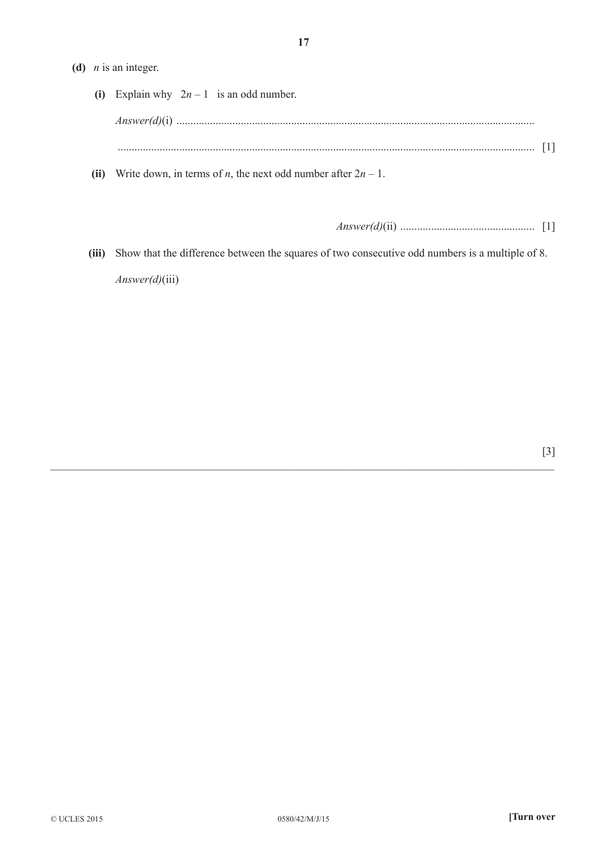## **(d)**  *n* is an integer.

| (i) Explain why $2n-1$ is an odd number.                                     |  |
|------------------------------------------------------------------------------|--|
|                                                                              |  |
|                                                                              |  |
| (ii) Write down, in terms of <i>n</i> , the next odd number after $2n - 1$ . |  |

*Answer(d)*(ii) ................................................ [1]

**(iii)** Show that the difference between the squares of two consecutive odd numbers is a multiple of 8. *Answer(d)*(iii)

 $\_$  , and the set of the set of the set of the set of the set of the set of the set of the set of the set of the set of the set of the set of the set of the set of the set of the set of the set of the set of the set of th

[3]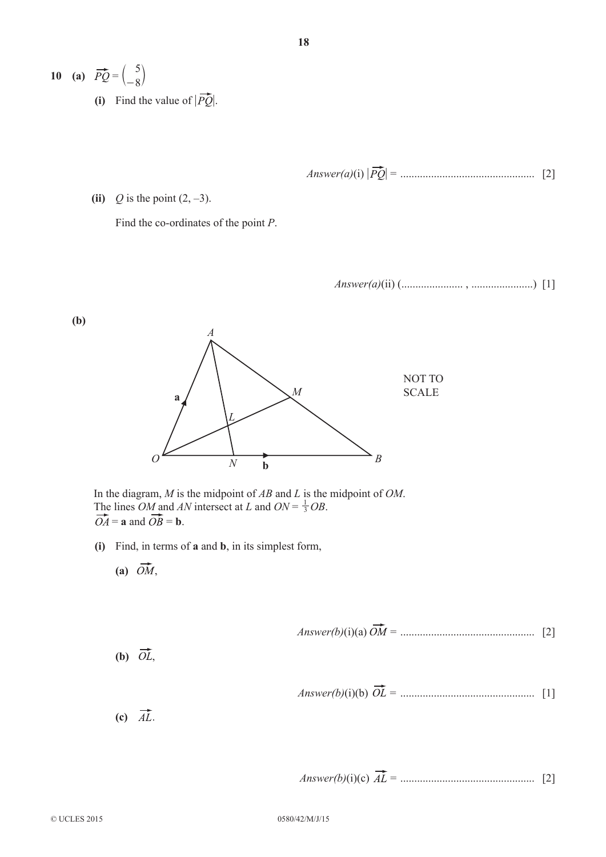**10** (a)  $PQ =$ 5  $\begin{pmatrix} 0 \\ -8 \end{pmatrix}$ (i) Find the value of  $|\overrightarrow{PQ}|$ .

Answer(a)(i) 
$$
|\overrightarrow{PQ}|
$$
 = 3 [2]

**(ii)**  $Q$  is the point  $(2, -3)$ .

Find the co-ordinates of the point *P*.

*Answer(a)*(ii) (...................... , ......................) [1]



 In the diagram, *M* is the midpoint of *AB* and *L* is the midpoint of *OM*. The lines *OM* and *AN* intersect at *L* and *ON* =  $\frac{1}{3}$ *OB*.  $\overrightarrow{OA}$  = **a** and  $\overrightarrow{OB}$  = **b**.

- **(i)** Find, in terms of **a** and **b**, in its simplest form,
	- (a)  $\overrightarrow{OM}$ ,

Answer(b)(i)(a) 
$$
\overline{OM}
$$
 = 1 [2]

(b)  $\overrightarrow{OL}$ ,

Answer(b)(i)(b) 
$$
\overrightarrow{OL}
$$
 = 1 [1]

(c)  $\overrightarrow{AL}$ .

Answer(b)(i)(c) 
$$
\overrightarrow{AL}
$$
 = 3.2 [2]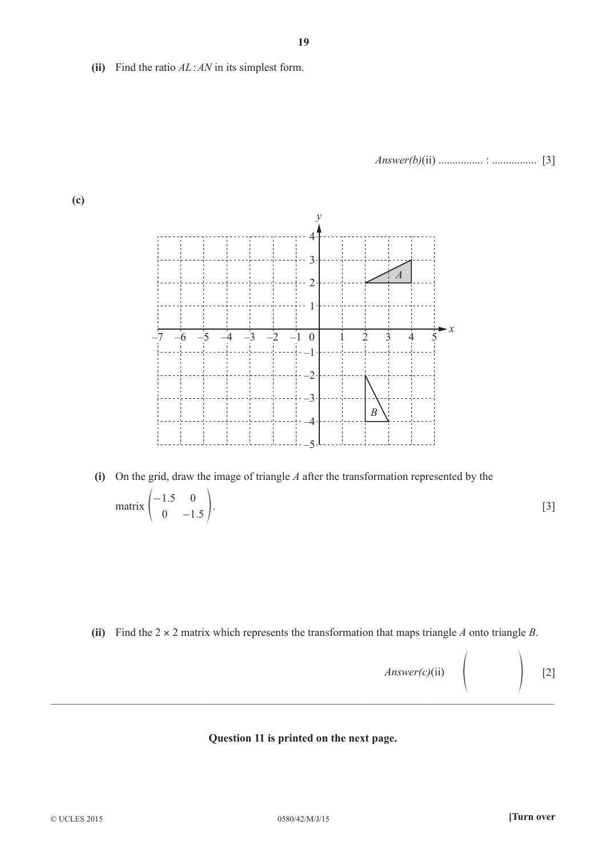**(ii)** Find the ratio *AL*:*AN* in its simplest form.

*Answer(b)*(ii) ................ : ................ [3]

**(c)**



**(i)** On the grid, draw the image of triangle *A* after the transformation represented by the matrix  $\begin{bmatrix} 1.5 \\ 0 & -1.5 \end{bmatrix}$  $1.5 \t 0$  $0 \begin{pmatrix} -1.5 & 0 \\ 0 & 1.5 \end{pmatrix}$ . [3]

(ii) Find the  $2 \times 2$  matrix which represents the transformation that maps triangle *A* onto triangle *B*.

*Answer(c)*(ii)  $\Bigg|$  [2]

## **Question 11 is printed on the next page.**

 $\mathcal{L}_\mathcal{L} = \mathcal{L}_\mathcal{L} = \mathcal{L}_\mathcal{L} = \mathcal{L}_\mathcal{L} = \mathcal{L}_\mathcal{L} = \mathcal{L}_\mathcal{L} = \mathcal{L}_\mathcal{L} = \mathcal{L}_\mathcal{L} = \mathcal{L}_\mathcal{L} = \mathcal{L}_\mathcal{L} = \mathcal{L}_\mathcal{L} = \mathcal{L}_\mathcal{L} = \mathcal{L}_\mathcal{L} = \mathcal{L}_\mathcal{L} = \mathcal{L}_\mathcal{L} = \mathcal{L}_\mathcal{L} = \mathcal{L}_\mathcal{L}$